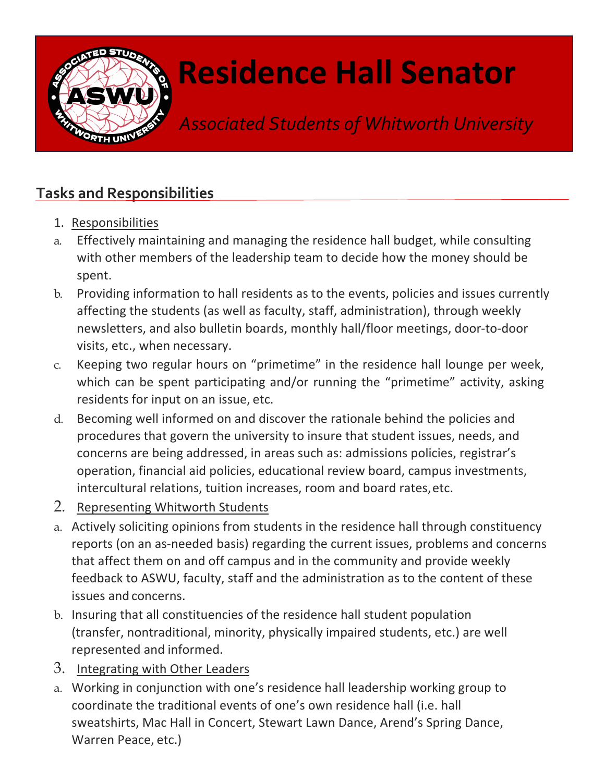

## **Residence Hall Senator**

*Associated Students of Whitworth University*

## **Tasks and Responsibilities**

- 1. Responsibilities
- a. Effectively maintaining and managing the residence hall budget, while consulting with other members of the leadership team to decide how the money should be spent.
- b. Providing information to hall residents as to the events, policies and issues currently affecting the students (as well as faculty, staff, administration), through weekly newsletters, and also bulletin boards, monthly hall/floor meetings, door-to-door visits, etc., when necessary.
- c. Keeping two regular hours on "primetime" in the residence hall lounge per week, which can be spent participating and/or running the "primetime" activity, asking residents for input on an issue, etc.
- d. Becoming well informed on and discover the rationale behind the policies and procedures that govern the university to insure that student issues, needs, and concerns are being addressed, in areas such as: admissions policies, registrar's operation, financial aid policies, educational review board, campus investments, intercultural relations, tuition increases, room and board rates,etc.
- 2. Representing Whitworth Students
- a. Actively soliciting opinions from students in the residence hall through constituency reports (on an as-needed basis) regarding the current issues, problems and concerns that affect them on and off campus and in the community and provide weekly feedback to ASWU, faculty, staff and the administration as to the content of these issues and concerns.
- b. Insuring that all constituencies of the residence hall student population (transfer, nontraditional, minority, physically impaired students, etc.) are well represented and informed.
- 3. Integrating with Other Leaders
- a. Working in conjunction with one's residence hall leadership working group to coordinate the traditional events of one's own residence hall (i.e. hall sweatshirts, Mac Hall in Concert, Stewart Lawn Dance, Arend's Spring Dance, Warren Peace, etc.)